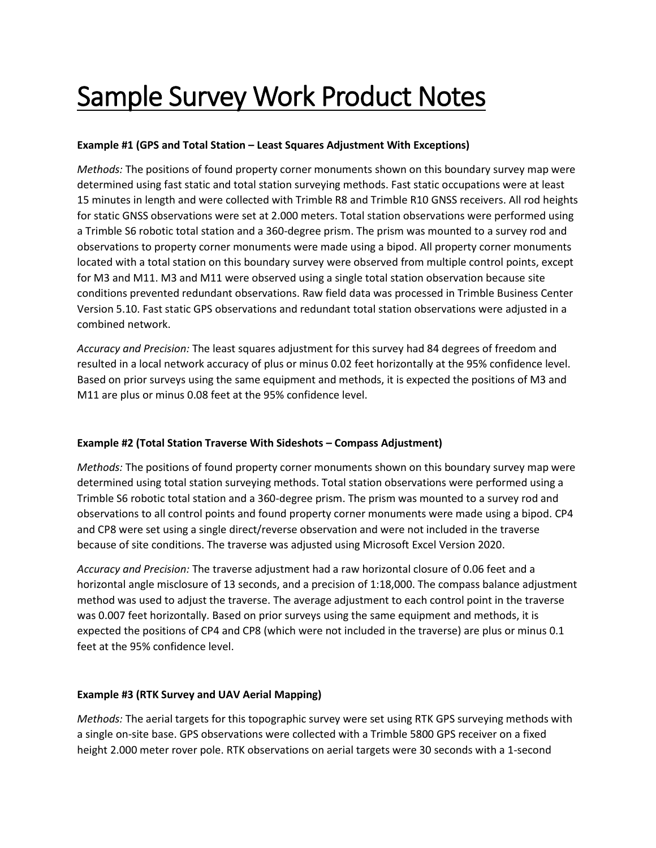## Sample Survey Work Product Notes

## **Example #1 (GPS and Total Station – Least Squares Adjustment With Exceptions)**

*Methods:* The positions of found property corner monuments shown on this boundary survey map were determined using fast static and total station surveying methods. Fast static occupations were at least 15 minutes in length and were collected with Trimble R8 and Trimble R10 GNSS receivers. All rod heights for static GNSS observations were set at 2.000 meters. Total station observations were performed using a Trimble S6 robotic total station and a 360-degree prism. The prism was mounted to a survey rod and observations to property corner monuments were made using a bipod. All property corner monuments located with a total station on this boundary survey were observed from multiple control points, except for M3 and M11. M3 and M11 were observed using a single total station observation because site conditions prevented redundant observations. Raw field data was processed in Trimble Business Center Version 5.10. Fast static GPS observations and redundant total station observations were adjusted in a combined network.

*Accuracy and Precision:* The least squares adjustment for this survey had 84 degrees of freedom and resulted in a local network accuracy of plus or minus 0.02 feet horizontally at the 95% confidence level. Based on prior surveys using the same equipment and methods, it is expected the positions of M3 and M11 are plus or minus 0.08 feet at the 95% confidence level.

## **Example #2 (Total Station Traverse With Sideshots – Compass Adjustment)**

*Methods:* The positions of found property corner monuments shown on this boundary survey map were determined using total station surveying methods. Total station observations were performed using a Trimble S6 robotic total station and a 360-degree prism. The prism was mounted to a survey rod and observations to all control points and found property corner monuments were made using a bipod. CP4 and CP8 were set using a single direct/reverse observation and were not included in the traverse because of site conditions. The traverse was adjusted using Microsoft Excel Version 2020.

*Accuracy and Precision:* The traverse adjustment had a raw horizontal closure of 0.06 feet and a horizontal angle misclosure of 13 seconds, and a precision of 1:18,000. The compass balance adjustment method was used to adjust the traverse. The average adjustment to each control point in the traverse was 0.007 feet horizontally. Based on prior surveys using the same equipment and methods, it is expected the positions of CP4 and CP8 (which were not included in the traverse) are plus or minus 0.1 feet at the 95% confidence level.

## **Example #3 (RTK Survey and UAV Aerial Mapping)**

*Methods:* The aerial targets for this topographic survey were set using RTK GPS surveying methods with a single on-site base. GPS observations were collected with a Trimble 5800 GPS receiver on a fixed height 2.000 meter rover pole. RTK observations on aerial targets were 30 seconds with a 1-second